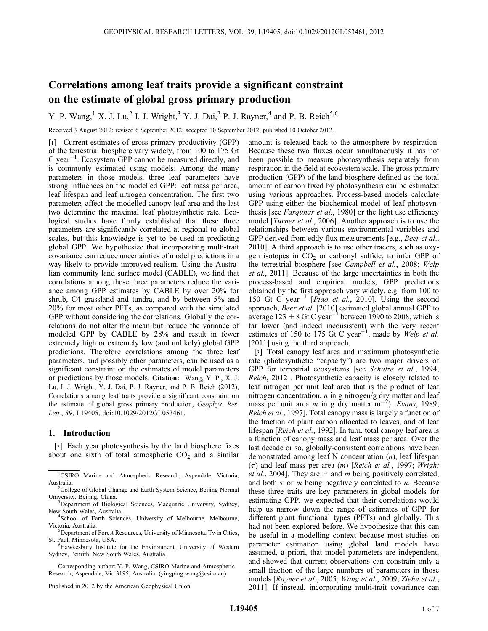# Correlations among leaf traits provide a significant constraint on the estimate of global gross primary production

Y. P. Wang,<sup>1</sup> X. J. Lu,<sup>2</sup> I. J. Wright,<sup>3</sup> Y. J. Dai,<sup>2</sup> P. J. Rayner,<sup>4</sup> and P. B. Reich<sup>5,6</sup>

Received 3 August 2012; revised 6 September 2012; accepted 10 September 2012; published 10 October 2012.

[1] Current estimates of gross primary productivity (GPP) of the terrestrial biosphere vary widely, from 100 to 175 Gt  $C$  year<sup>-1</sup>. Ecosystem GPP cannot be measured directly, and is commonly estimated using models. Among the many parameters in those models, three leaf parameters have strong influences on the modelled GPP: leaf mass per area, leaf lifespan and leaf nitrogen concentration. The first two parameters affect the modelled canopy leaf area and the last two determine the maximal leaf photosynthetic rate. Ecological studies have firmly established that these three parameters are significantly correlated at regional to global scales, but this knowledge is yet to be used in predicting global GPP. We hypothesize that incorporating multi-trait covariance can reduce uncertainties of model predictions in a way likely to provide improved realism. Using the Australian community land surface model (CABLE), we find that correlations among these three parameters reduce the variance among GPP estimates by CABLE by over 20% for shrub, C4 grassland and tundra, and by between 5% and 20% for most other PFTs, as compared with the simulated GPP without considering the correlations. Globally the correlations do not alter the mean but reduce the variance of modeled GPP by CABLE by 28% and result in fewer extremely high or extremely low (and unlikely) global GPP predictions. Therefore correlations among the three leaf parameters, and possibly other parameters, can be used as a significant constraint on the estimates of model parameters or predictions by those models. Citation: Wang, Y. P., X. J. Lu, I. J. Wright, Y. J. Dai, P. J. Rayner, and P. B. Reich (2012), Correlations among leaf traits provide a significant constraint on the estimate of global gross primary production, Geophys. Res. Lett., 39, L19405, doi:10.1029/2012GL053461.

#### 1. Introduction

[2] Each year photosynthesis by the land biosphere fixes about one sixth of total atmospheric  $CO<sub>2</sub>$  and a similar

Corresponding author: Y. P. Wang, CSIRO Marine and Atmospheric Research, Aspendale, Vic 3195, Australia. (yingping.wang@csiro.au)

Published in 2012 by the American Geophysical Union.

amount is released back to the atmosphere by respiration. Because these two fluxes occur simultaneously it has not been possible to measure photosynthesis separately from respiration in the field at ecosystem scale. The gross primary production (GPP) of the land biosphere defined as the total amount of carbon fixed by photosynthesis can be estimated using various approaches. Process-based models calculate GPP using either the biochemical model of leaf photosynthesis [see Farquhar et al., 1980] or the light use efficiency model [Turner et al., 2006]. Another approach is to use the relationships between various environmental variables and GPP derived from eddy flux measurements [e.g., Beer et al., 2010]. A third approach is to use other tracers, such as oxygen isotopes in  $CO<sub>2</sub>$  or carbonyl sulfide, to infer GPP of the terrestrial biosphere [see Campbell et al., 2008; Welp et al., 2011]. Because of the large uncertainties in both the process-based and empirical models, GPP predictions obtained by the first approach vary widely, e.g. from 100 to 150 Gt C year<sup>-1</sup> [*Piao et al.*, 2010]. Using the second approach, Beer et al. [2010] estimated global annual GPP to average  $123 \pm 8$  Gt C year<sup>-1</sup> between 1990 to 2008, which is far lower (and indeed inconsistent) with the very recent estimates of 150 to 175 Gt C year<sup>-1</sup>, made by Welp et al. [2011] using the third approach.

[3] Total canopy leaf area and maximum photosynthetic rate (photosynthetic "capacity") are two major drivers of GPP for terrestrial ecosystems [see Schulze et al., 1994; Reich, 2012]. Photosynthetic capacity is closely related to leaf nitrogen per unit leaf area that is the product of leaf nitrogen concentration,  $n$  in g nitrogen/g dry matter and leaf mass per unit area m in g dry matter  $m^{-2}$ ) [Evans, 1989; Reich et al., 1997]. Total canopy mass is largely a function of the fraction of plant carbon allocated to leaves, and of leaf lifespan [Reich et al., 1992]. In turn, total canopy leaf area is a function of canopy mass and leaf mass per area. Over the last decade or so, globally-consistent correlations have been demonstrated among leaf N concentration (n), leaf lifespan  $(\tau)$  and leaf mass per area (m) [Reich et al., 1997; Wright *et al.*, 2004]. They are:  $\tau$  and *m* being positively correlated, and both  $\tau$  or *m* being negatively correlated to *n*. Because these three traits are key parameters in global models for estimating GPP, we expected that their correlations would help us narrow down the range of estimates of GPP for different plant functional types (PFTs) and globally. This had not been explored before. We hypothesize that this can be useful in a modelling context because most studies on parameter estimation using global land models have assumed, a priori, that model parameters are independent, and showed that current observations can constrain only a small fraction of the large numbers of parameters in those models [Rayner et al., 2005; Wang et al., 2009; Ziehn et al., 2011]. If instead, incorporating multi-trait covariance can

<sup>&</sup>lt;sup>1</sup>CSIRO Marine and Atmospheric Research, Aspendale, Victoria, Australia. <sup>2</sup>

<sup>&</sup>lt;sup>2</sup>College of Global Change and Earth System Science, Beijing Normal University, Beijing, China. <sup>3</sup>

<sup>&</sup>lt;sup>3</sup>Department of Biological Sciences, Macquarie University, Sydney, New South Wales, Australia. <sup>4</sup>

<sup>&</sup>lt;sup>4</sup>School of Earth Sciences, University of Melbourne, Melbourne, Victoria, Australia. <sup>5</sup>

<sup>&</sup>lt;sup>5</sup>Department of Forest Resources, University of Minnesota, Twin Cities, St. Paul, Minnesota, USA. <sup>6</sup>

<sup>&</sup>lt;sup>6</sup>Hawkesbury Institute for the Environment, University of Western Sydney, Penrith, New South Wales, Australia.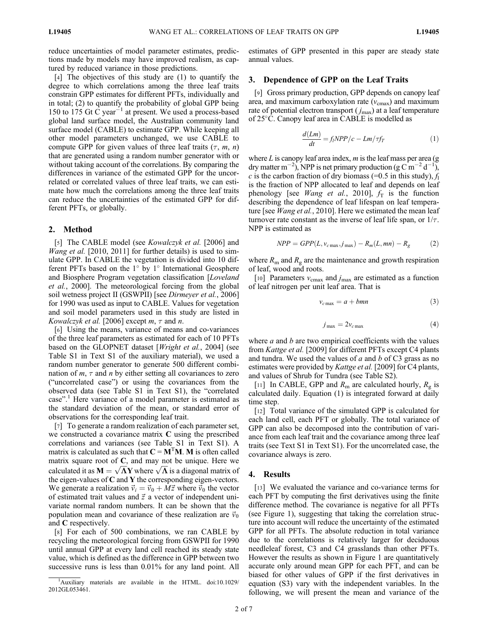reduce uncertainties of model parameter estimates, predictions made by models may have improved realism, as captured by reduced variance in those predictions.

[4] The objectives of this study are (1) to quantify the degree to which correlations among the three leaf traits constrain GPP estimates for different PFTs, individually and in total; (2) to quantify the probability of global GPP being 150 to 175 Gt  $\dot{C}$  year<sup>-1</sup> at present. We used a process-based global land surface model, the Australian community land surface model (CABLE) to estimate GPP. While keeping all other model parameters unchanged, we use CABLE to compute GPP for given values of three leaf traits  $(\tau, m, n)$ that are generated using a random number generator with or without taking account of the correlations. By comparing the differences in variance of the estimated GPP for the uncorrelated or correlated values of three leaf traits, we can estimate how much the correlations among the three leaf traits can reduce the uncertainties of the estimated GPP for different PFTs, or globally.

### 2. Method

[5] The CABLE model (see *Kowalczyk et al.* [2006] and *Wang et al.* [2010, 2011] for further details) is used to simulate GPP. In CABLE the vegetation is divided into 10 different PFTs based on the  $1^{\circ}$  by  $1^{\circ}$  International Geosphere and Biosphere Program vegetation classification [Loveland et al., 2000]. The meteorological forcing from the global soil wetness project II (GSWPII) [see *Dirmeyer et al.*, 2006] for 1990 was used as input to CABLE. Values for vegetation and soil model parameters used in this study are listed in Kowalczyk et al. [2006] except  $m, \tau$  and  $n$ .

[6] Using the means, variance of means and co-variances of the three leaf parameters as estimated for each of 10 PFTs based on the GLOPNET dataset [*Wright et al.*, 2004] (see Table S1 in Text S1 of the auxiliary material), we used a random number generator to generate 500 different combination of  $m, \tau$  and n by either setting all covariances to zero ("uncorrelated case") or using the covariances from the observed data (see Table S1 in Text S1), the "correlated case".<sup>1</sup> Here variance of a model parameter is estimated as the standard deviation of the mean, or standard error of observations for the corresponding leaf trait.

[7] To generate a random realization of each parameter set, we constructed a covariance matrix C using the prescribed correlations and variances (see Table S1 in Text S1). A matrix is calculated as such that  $C = M<sup>T</sup>M$ . M is often called matrix square root of  $C$ , and may not be unique. Here we matrix square root of C, and may not be unique. Here we<br>calculated it as  $M = \sqrt{\Lambda}Y$  where  $\sqrt{\Lambda}$  is a diagonal matrix of the eigen-values of  $C$  and  $Y$  the corresponding eigen-vectors. We generate a realization  $\vec{v}_i = \vec{v}_0 + M\vec{z}$  where  $\vec{v}_0$  the vector of estimated trait values and  $\vec{z}$  a vector of independent univariate normal random numbers. It can be shown that the population mean and covariance of these realization are  $\vec{v}_0$ and C respectively.

[8] For each of 500 combinations, we ran CABLE by recycling the meteorological forcing from GSWPII for 1990 until annual GPP at every land cell reached its steady state value, which is defined as the difference in GPP between two successive runs is less than 0.01% for any land point. All estimates of GPP presented in this paper are steady state annual values.

# 3. Dependence of GPP on the Leaf Traits

[9] Gross primary production, GPP depends on canopy leaf area, and maximum carboxylation rate  $(v_{\text{cmax}})$  and maximum rate of potential electron transport  $(j_{\text{max}})$  at a leaf temperature of 25C. Canopy leaf area in CABLE is modelled as

$$
\frac{d(Lm)}{dt} = f_i NPP / c - Lm / \tau f_T \tag{1}
$$

where  $L$  is canopy leaf area index,  $m$  is the leaf mass per area (g dry matter m<sup>-2</sup>), NPP is net primary production (g C m<sup>-2</sup> d<sup>-1</sup>), c is the carbon fraction of dry biomass (=0.5 in this study),  $f_1$ is the fraction of NPP allocated to leaf and depends on leaf phenology [see *Wang et al.*, 2010],  $f_T$  is the function describing the dependence of leaf lifespan on leaf temperature [see *Wang et al.*, 2010]. Here we estimated the mean leaf turnover rate constant as the inverse of leaf life span, or  $1/\tau$ . NPP is estimated as

$$
NPP = GPP(L, v_{c\max}, j_{\max}) - R_m(L, mn) - R_g \tag{2}
$$

where  $R_{\rm m}$  and  $R_{\rm g}$  are the maintenance and growth respiration of leaf, wood and roots.

[10] Parameters  $v_{\text{cmax}}$  and  $j_{\text{max}}$  are estimated as a function of leaf nitrogen per unit leaf area. That is

$$
v_{c\max} = a + bmn \tag{3}
$$

$$
j_{\text{max}} = 2v_{c\text{max}} \tag{4}
$$

where  $a$  and  $b$  are two empirical coefficients with the values from Kattge et al. [2009] for different PFTs except C4 plants and tundra. We used the values of  $a$  and  $b$  of C3 grass as no estimates were provided by *Kattge et al.* [2009] for C4 plants, and values of Shrub for Tundra (see Table S2).

[11] In CABLE, GPP and  $R<sub>m</sub>$  are calculated hourly,  $R<sub>g</sub>$  is calculated daily. Equation (1) is integrated forward at daily time step.

[12] Total variance of the simulated GPP is calculated for each land cell, each PFT or globally. The total variance of GPP can also be decomposed into the contribution of variance from each leaf trait and the covariance among three leaf traits (see Text S1 in Text S1). For the uncorrelated case, the covariance always is zero.

#### 4. Results

[13] We evaluated the variance and co-variance terms for each PFT by computing the first derivatives using the finite difference method. The covariance is negative for all PFTs (see Figure 1), suggesting that taking the correlation structure into account will reduce the uncertainty of the estimated GPP for all PFTs. The absolute reduction in total variance due to the correlations is relatively larger for deciduous needleleaf forest, C3 and C4 grasslands than other PFTs. However the results as shown in Figure 1 are quantitatively accurate only around mean GPP for each PFT, and can be biased for other values of GPP if the first derivatives in equation (S3) vary with the independent variables. In the following, we will present the mean and variance of the

<sup>&</sup>lt;sup>1</sup>Auxiliary materials are available in the HTML. doi:10.1029/ 2012GL053461.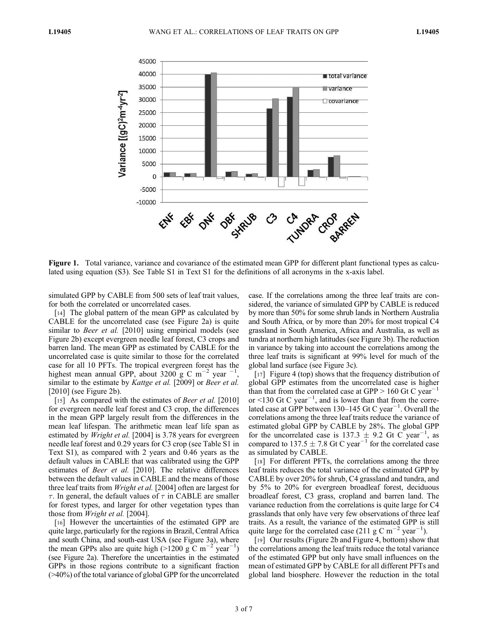

Figure 1. Total variance, variance and covariance of the estimated mean GPP for different plant functional types as calculated using equation (S3). See Table S1 in Text S1 for the definitions of all acronyms in the x-axis label.

simulated GPP by CABLE from 500 sets of leaf trait values, for both the correlated or uncorrelated cases.

[14] The global pattern of the mean GPP as calculated by CABLE for the uncorrelated case (see Figure 2a) is quite similar to *Beer et al.* [2010] using empirical models (see Figure 2b) except evergreen needle leaf forest, C3 crops and barren land. The mean GPP as estimated by CABLE for the uncorrelated case is quite similar to those for the correlated case for all 10 PFTs. The tropical evergreen forest has the highest mean annual GPP, about 3200 g C m<sup>-2</sup> year <sup>-1</sup>, similar to the estimate by *Kattge et al.* [2009] or *Beer et al.* [2010] (see Figure 2b).

[15] As compared with the estimates of *Beer et al.* [2010] for evergreen needle leaf forest and C3 crop, the differences in the mean GPP largely result from the differences in the mean leaf lifespan. The arithmetic mean leaf life span as estimated by *Wright et al.* [2004] is 3.78 years for evergreen needle leaf forest and 0.29 years for C3 crop (see Table S1 in Text S1), as compared with 2 years and 0.46 years as the default values in CABLE that was calibrated using the GPP estimates of Beer et al. [2010]. The relative differences between the default values in CABLE and the means of those three leaf traits from Wright et al. [2004] often are largest for  $\tau$ . In general, the default values of  $\tau$  in CABLE are smaller for forest types, and larger for other vegetation types than those from Wright et al. [2004].

[16] However the uncertainties of the estimated GPP are quite large, particularly for the regions in Brazil, Central Africa and south China, and south-east USA (see Figure 3a), where the mean GPPs also are quite high (>1200 g  $\rm \overline{C}$  m<sup>-2'</sup>year<sup>-1</sup>) (see Figure 2a). Therefore the uncertainties in the estimated GPPs in those regions contribute to a significant fraction (>40%) of the total variance of global GPP for the uncorrelated case. If the correlations among the three leaf traits are considered, the variance of simulated GPP by CABLE is reduced by more than 50% for some shrub lands in Northern Australia and South Africa, or by more than 20% for most tropical C4 grassland in South America, Africa and Australia, as well as tundra at northern high latitudes (see Figure 3b). The reduction in variance by taking into account the correlations among the three leaf traits is significant at 99% level for much of the global land surface (see Figure 3c).

[17] Figure 4 (top) shows that the frequency distribution of global GPP estimates from the uncorrelated case is higher than that from the correlated case at GPP  $> 160$  Gt C year<sup>-1</sup> or <130 Gt C year<sup>-1</sup>, and is lower than that from the correlated case at GPP between 130–145 Gt C year<sup>-1</sup>. Overall the correlations among the three leaf traits reduce the variance of estimated global GPP by CABLE by 28%. The global GPP for the uncorrelated case is 137.3  $\pm$  9.2 Gt C year<sup>-1</sup>, as compared to 137.5  $\pm$  7.8 Gt C year<sup>-1</sup> for the correlated case as simulated by CABLE.

[18] For different PFTs, the correlations among the three leaf traits reduces the total variance of the estimated GPP by CABLE by over 20% for shrub, C4 grassland and tundra, and by 5% to 20% for evergreen broadleaf forest, deciduous broadleaf forest, C3 grass, cropland and barren land. The variance reduction from the correlations is quite large for C4 grasslands that only have very few observations of three leaf traits. As a result, the variance of the estimated GPP is still quite large for the correlated case (211 g C m<sup>-2</sup> year<sup>-1</sup>).

[19] Our results (Figure 2b and Figure 4, bottom) show that the correlations among the leaf traits reduce the total variance of the estimated GPP but only have small influences on the mean of estimated GPP by CABLE for all different PFTs and global land biosphere. However the reduction in the total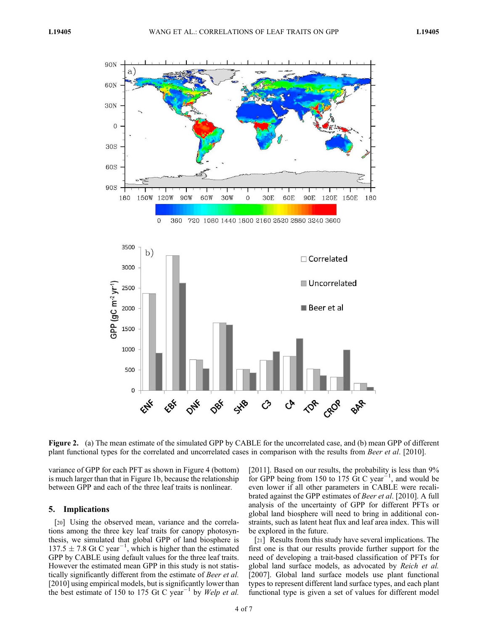

Figure 2. (a) The mean estimate of the simulated GPP by CABLE for the uncorrelated case, and (b) mean GPP of different plant functional types for the correlated and uncorrelated cases in comparison with the results from Beer et al. [2010].

variance of GPP for each PFT as shown in Figure 4 (bottom) is much larger than that in Figure 1b, because the relationship between GPP and each of the three leaf traits is nonlinear.

# 5. Implications

[20] Using the observed mean, variance and the correlations among the three key leaf traits for canopy photosynthesis, we simulated that global GPP of land biosphere is  $137.5 \pm 7.8$  Gt C year<sup>-1</sup>, which is higher than the estimated GPP by CABLE using default values for the three leaf traits. However the estimated mean GPP in this study is not statistically significantly different from the estimate of Beer et al. [2010] using empirical models, but is significantly lower than the best estimate of 150 to 175 Gt C year<sup>-1</sup> by Welp et al. [2011]. Based on our results, the probability is less than  $9\%$ for GPP being from 150 to 175  $\overline{G}t$  C year<sup>-1</sup>, and would be even lower if all other parameters in CABLE were recalibrated against the GPP estimates of Beer et al. [2010]. A full analysis of the uncertainty of GPP for different PFTs or global land biosphere will need to bring in additional constraints, such as latent heat flux and leaf area index. This will be explored in the future.

[21] Results from this study have several implications. The first one is that our results provide further support for the need of developing a trait-based classification of PFTs for global land surface models, as advocated by Reich et al. [2007]. Global land surface models use plant functional types to represent different land surface types, and each plant functional type is given a set of values for different model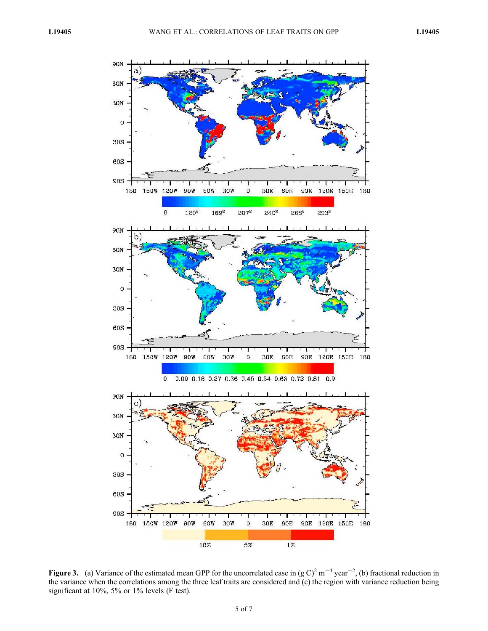

Figure 3. (a) Variance of the estimated mean GPP for the uncorrelated case in  $(g C)^2 m^{-4}$  year<sup>-2</sup>, (b) fractional reduction in the variance when the correlations among the three leaf traits are considered and (c) the region with variance reduction being significant at 10%, 5% or 1% levels (F test).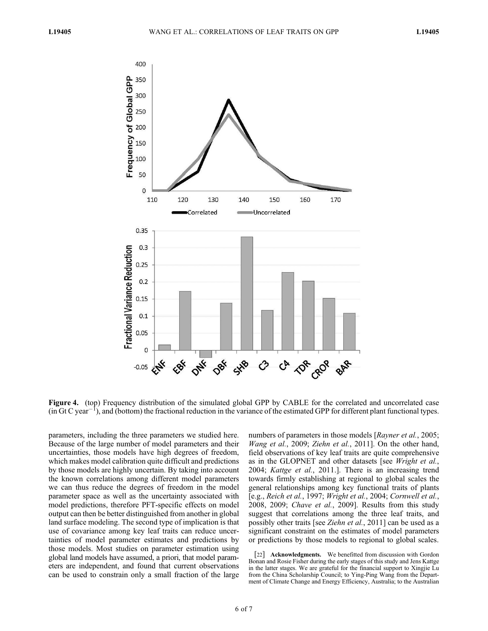

Figure 4. (top) Frequency distribution of the simulated global GPP by CABLE for the correlated and uncorrelated case  $(in Gt C year^{-1})$ , and (bottom) the fractional reduction in the variance of the estimated GPP for different plant functional types.

parameters, including the three parameters we studied here. Because of the large number of model parameters and their uncertainties, those models have high degrees of freedom, which makes model calibration quite difficult and predictions by those models are highly uncertain. By taking into account the known correlations among different model parameters we can thus reduce the degrees of freedom in the model parameter space as well as the uncertainty associated with model predictions, therefore PFT-specific effects on model output can then be better distinguished from another in global land surface modeling. The second type of implication is that use of covariance among key leaf traits can reduce uncertainties of model parameter estimates and predictions by those models. Most studies on parameter estimation using global land models have assumed, a priori, that model parameters are independent, and found that current observations can be used to constrain only a small fraction of the large

numbers of parameters in those models [Rayner et al., 2005; Wang et al., 2009; Ziehn et al., 2011]. On the other hand, field observations of key leaf traits are quite comprehensive as in the GLOPNET and other datasets [see Wright et al., 2004; Kattge et al., 2011.]. There is an increasing trend towards firmly establishing at regional to global scales the general relationships among key functional traits of plants [e.g., Reich et al., 1997; Wright et al., 2004; Cornwell et al., 2008, 2009; Chave et al., 2009]. Results from this study suggest that correlations among the three leaf traits, and possibly other traits [see Ziehn et al., 2011] can be used as a significant constraint on the estimates of model parameters or predictions by those models to regional to global scales.

[22] **Acknowledgments.** We benefitted from discussion with Gordon Bonan and Rosie Fisher during the early stages of this study and Jens Kattge in the latter stages. We are grateful for the financial support to Xingjie Lu from the China Scholarship Council; to Ying-Ping Wang from the Department of Climate Change and Energy Efficiency, Australia; to the Australian